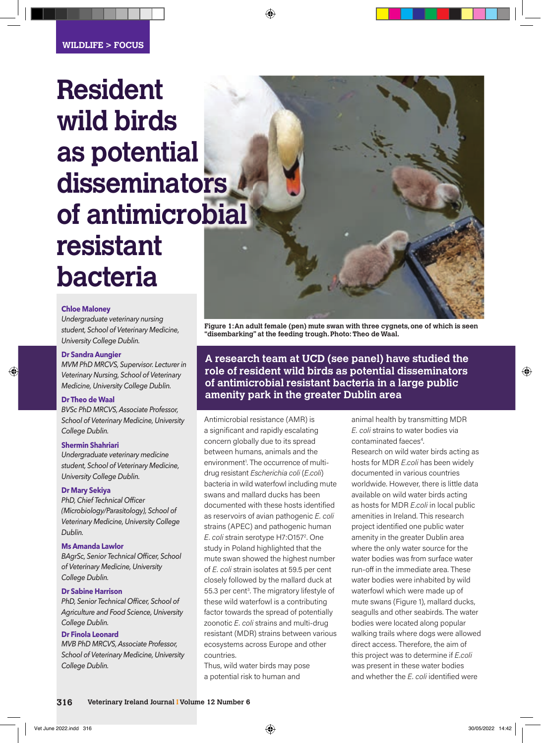# **Resident wild birds as potential disseminators of antimicrobial resistant bacteria**

#### **Chloe Maloney**

*Undergraduate veterinary nursing student, School of Veterinary Medicine, University College Dublin.*

## **Dr Sandra Aungier**

*MVM PhD MRCVS, Supervisor. Lecturer in Veterinary Nursing, School of Veterinary Medicine, University College Dublin.* 

## **Dr Theo de Waal**

*BVSc PhD MRCVS, Associate Professor, School of Veterinary Medicine, University College Dublin.* 

## **Shermin Shahriari**

*Undergraduate veterinary medicine student, School of Veterinary Medicine, University College Dublin.*

## **Dr Mary Sekiya**

**PhD, Chief Technical Officer** *(Microbiology/Parasitology), School of Veterinary Medicine, University College Dublin.*

# **Ms Amanda Lawlor**

**BAgrSc, Senior Technical Officer, School** *of Veterinary Medicine, University College Dublin.*

## **Dr Sabine Harrison**

**PhD, Senior Technical Officer, School of** *Agriculture and Food Science, University College Dublin.*

# **Dr Finola Leonard**

*MVB PhD MRCVS, Associate Professor, School of Veterinary Medicine, University College Dublin.*



**A research team at UCD (see panel) have studied the role of resident wild birds as potential disseminators of antimicrobial resistant bacteria in a large public amenity park in the greater Dublin area**

Antimicrobial resistance (AMR) is a significant and rapidly escalating concern globally due to its spread between humans, animals and the environment<sup>1</sup>. The occurrence of multidrug resistant *Escherichia coli* (*E.coli*) bacteria in wild waterfowl including mute swans and mallard ducks has been documented with these hosts identified as reservoirs of avian pathogenic *E. coli*  strains (APEC) and pathogenic human E. coli strain serotype H7:0157<sup>2</sup>. One study in Poland highlighted that the mute swan showed the highest number of *E. coli* strain isolates at 59.5 per cent closely followed by the mallard duck at 55.3 per cent<sup>3</sup>. The migratory lifestyle of these wild waterfowl is a contributing factor towards the spread of potentially zoonotic *E. coli* strains and multi-drug resistant (MDR) strains between various ecosystems across Europe and other countries.

Thus, wild water birds may pose a potential risk to human and

animal health by transmitting MDR *E. coli* strains to water bodies via contaminated faeces<sup>4</sup>. . Research on wild water birds acting as hosts for MDR *E.coli* has been widely documented in various countries worldwide. However, there is little data available on wild water birds acting as hosts for MDR *E.coli* in local public amenities in Ireland. This research project identified one public water amenity in the greater Dublin area where the only water source for the water bodies was from surface water run-off in the immediate area. These water bodies were inhabited by wild waterfowl which were made up of mute swans (Figure 1), mallard ducks, seagulls and other seabirds. The water bodies were located along popular walking trails where dogs were allowed direct access. Therefore, the aim of this project was to determine if *E.coli* was present in these water bodies and whether the *E. coli* identified were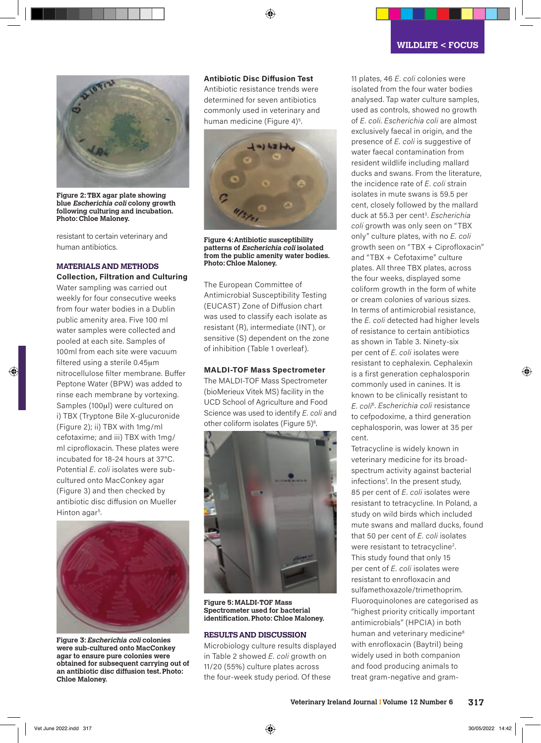

**Figure 2: TBX agar plate showing blue Escherichia coli colony growth following culturing and incubation. Photo: Chloe Maloney.**

resistant to certain veterinary and human antibiotics.

## **MATERIALS AND METHODS**

#### **Collection, Filtration and Culturing**

Water sampling was carried out weekly for four consecutive weeks from four water bodies in a Dublin public amenity area. Five 100 ml water samples were collected and pooled at each site. Samples of 100ml from each site were vacuum filtered using a sterile 0.45μm nitrocellulose filter membrane. Buffer Peptone Water (BPW) was added to rinse each membrane by vortexing. Samples (100μl) were cultured on i) TBX (Tryptone Bile X-glucuronide (Figure 2); ii) TBX with 1mg/ml cefotaxime; and iii) TBX with 1mg/ ml ciprofloxacin. These plates were incubated for 18-24 hours at 37°C. Potential *E. coli* isolates were subcultured onto MacConkey agar (Figure 3) and then checked by antibiotic disc diffusion on Mueller Hinton agar<sup>5</sup>. .



**Figure 3: Escherichia coli colonies were sub-cultured onto MacConkey agar to ensure pure colonies were obtained for subsequent carrying out of an antibiotic disc diffusion test. Photo: Chloe Maloney.**

## **Antibiotic Disc Diffusion Test**

Antibiotic resistance trends were determined for seven antibiotics commonly used in veterinary and human medicine (Figure 4)<sup>5</sup>. .



**Figure 4: Antibiotic susceptibility patterns of Escherichia coli isolated from the public amenity water bodies. Photo: Chloe Maloney.**

The European Committee of Antimicrobial Susceptibility Testing (EUCAST) Zone of Diffusion chart was used to classify each isolate as resistant (R), intermediate (INT), or sensitive (S) dependent on the zone of inhibition (Table 1 overleaf).

#### **MALDI-TOF Mass Spectrometer**

The MALDI-TOF Mass Spectrometer (bioMerieux Vitek MS) facility in the UCD School of Agriculture and Food Science was used to identify *E. coli* and other coliform isolates (Figure 5)<sup>6</sup>. .



**Figure 5: MALDI-TOF Mass Spectrometer used for bacterial identifi cation. Photo: Chloe Maloney.**

## **RESULTS AND DISCUSSION**

Microbiology culture results displayed in Table 2 showed *E. coli* growth on 11/20 (55%) culture plates across the four-week study period. Of these

11 plates, 46 *E. coli* colonies were isolated from the four water bodies analysed. Tap water culture samples, used as controls, showed no growth of *E. coli*. *Escherichia coli* are almost exclusively faecal in origin, and the presence of *E. coli* is suggestive of water faecal contamination from resident wildlife including mallard ducks and swans. From the literature, the incidence rate of *E. coli* strain isolates in mute swans is 59.5 per cent, closely followed by the mallard duck at 55.3 per cent3. *Escherichia coli* growth was only seen on "TBX only" culture plates, with no *E. coli*  growth seen on "TBX + Ciprofloxacin" and "TBX + Cefotaxime" culture plates. All three TBX plates, across the four weeks, displayed some coliform growth in the form of white or cream colonies of various sizes. In terms of antimicrobial resistance, the *E. coli* detected had higher levels of resistance to certain antibiotics as shown in Table 3. Ninety-six per cent of *E. coli* isolates were resistant to cephalexin. Cephalexin is a first generation cephalosporin commonly used in canines. It is known to be clinically resistant to *E. coli*<sup>6</sup> . *Escherichia coli* resistance to cefpodoxime, a third generation cephalosporin, was lower at 35 per cent.

Tetracycline is widely known in veterinary medicine for its broadspectrum activity against bacterial infections7 . In the present study, 85 per cent of *E. coli* isolates were resistant to tetracycline. In Poland, a study on wild birds which included mute swans and mallard ducks, found that 50 per cent of *E. coli* isolates were resistant to tetracycline<sup>2</sup>. This study found that only 15 per cent of *E. coli* isolates were resistant to enrofloxacin and sulfamethoxazole/trimethoprim. Fluoroquinolones are categorised as "highest priority critically important antimicrobials" (HPCIA) in both human and veterinary medicine<sup>8</sup> with enrofloxacin (Baytril) being widely used in both companion and food producing animals to treat gram-negative and gram-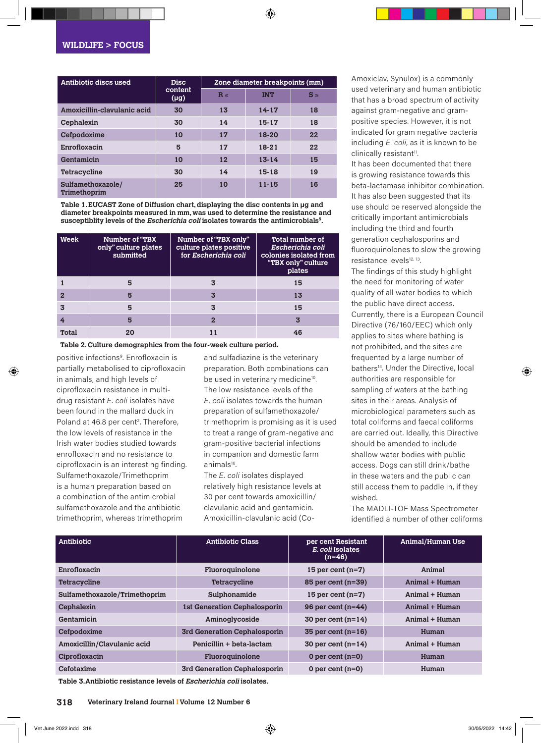| Antibiotic discs used             | <b>Disc</b><br>content<br>$(\mu g)$ | Zone diameter breakpoints (mm) |            |         |
|-----------------------------------|-------------------------------------|--------------------------------|------------|---------|
|                                   |                                     | $R \leq$                       | <b>INT</b> | $S \ge$ |
| Amoxicillin-clavulanic acid       | 30                                  | 13                             | $14 - 17$  | 18      |
| Cephalexin                        | 30                                  | 14                             | 15-17      | 18      |
| Cefpodoxime                       | 10                                  | 17                             | 18-20      | 22      |
| Enrofloxacin                      | 5                                   | 17                             | $18 - 21$  | 22      |
| Gentamicin                        | 10                                  | 12                             | $13 - 14$  | 15      |
| Tetracycline                      | 30                                  | 14                             | 15-18      | 19      |
| Sulfamethoxazole/<br>Trimethoprim | 25                                  | 10                             | $11 - 15$  | 16      |

**Table 1. EUCAST Zone of Diffusion chart, displaying the disc contents in µg and diameter breakpoints measured in mm, was used to determine the resistance and susceptiblity levels of the Escherichia coli isolates towards the antimicrobials5.**

| Week  | Number of "TBX<br>only" culture plates<br>submitted | Number of "TBX only"<br>culture plates positive<br>for Escherichia coli | Total number of<br>Escherichia coli<br>colonies isolated from<br>"TBX only" culture<br>plates |
|-------|-----------------------------------------------------|-------------------------------------------------------------------------|-----------------------------------------------------------------------------------------------|
|       | 5                                                   |                                                                         | 15                                                                                            |
|       | 5                                                   | 3                                                                       | 13                                                                                            |
|       | 5                                                   | 3                                                                       | 15                                                                                            |
|       | 5                                                   | $\overline{2}$                                                          | 3                                                                                             |
| Total |                                                     |                                                                         | 46                                                                                            |

**Table 2. Culture demographics from the four-week culture period.**

positive infections9 . Enrofloxacin is partially metabolised to ciprofloxacin in animals, and high levels of ciprofloxacin resistance in multidrug resistant *E. coli* isolates have been found in the mallard duck in Poland at 46.8 per cent<sup>2</sup>. Therefore, the low levels of resistance in the Irish water bodies studied towards enrofloxacin and no resistance to ciprofloxacin is an interesting finding. Sulfamethoxazole/Trimethoprim is a human preparation based on a combination of the antimicrobial sulfamethoxazole and the antibiotic trimethoprim, whereas trimethoprim

and sulfadiazine is the veterinary preparation. Both combinations can be used in veterinary medicine<sup>10</sup>. The low resistance levels of the *E. coli* isolates towards the human preparation of sulfamethoxazole/ trimethoprim is promising as it is used to treat a range of gram-negative and gram-positive bacterial infections in companion and domestic farm animals<sup>10</sup>.

The *E. coli* isolates displayed relatively high resistance levels at 30 per cent towards amoxicillin/ clavulanic acid and gentamicin. Amoxicillin-clavulanic acid (CoAmoxiclav, Synulox) is a commonly used veterinary and human antibiotic that has a broad spectrum of activity against gram-negative and grampositive species. However, it is not indicated for gram negative bacteria including *E. coli*, as it is known to be clinically resistant<sup>11</sup>.

It has been documented that there is growing resistance towards this beta-lactamase inhibitor combination. It has also been suggested that its use should be reserved alongside the critically important antimicrobials including the third and fourth generation cephalosporins and fluoroquinolones to slow the growing resistance levels<sup>12, 13</sup>.

The findings of this study highlight the need for monitoring of water quality of all water bodies to which the public have direct access. Currently, there is a European Council Directive (76/160/EEC) which only applies to sites where bathing is not prohibited, and the sites are frequented by a large number of bathers<sup>14</sup>. Under the Directive, local authorities are responsible for sampling of waters at the bathing sites in their areas. Analysis of microbiological parameters such as total coliforms and faecal coliforms are carried out. Ideally, this Directive should be amended to include shallow water bodies with public access. Dogs can still drink/bathe in these waters and the public can still access them to paddle in, if they wished.

The MADLI-TOF Mass Spectrometer identified a number of other coliforms

| Antibiotic                    | <b>Antibiotic Class</b>             | per cent Resistant<br>E. coli Isolates<br>$(n=46)$ | <b>Animal/Human Use</b> |
|-------------------------------|-------------------------------------|----------------------------------------------------|-------------------------|
| Enrofloxacin                  | Fluoroquinolone                     | 15 per cent $(n=7)$                                | Animal                  |
| <b>Tetracycline</b>           | <b>Tetracycline</b>                 | 85 per cent (n=39)                                 | Animal + Human          |
| Sulfamethoxazole/Trimethoprim | Sulphonamide                        | 15 per cent $(n=7)$                                | Animal + Human          |
| Cephalexin                    | <b>1st Generation Cephalosporin</b> | 96 per cent $(n=44)$                               | Animal + Human          |
| Gentamicin                    | Aminoglycoside                      | 30 per cent $(n=14)$                               | Animal + Human          |
| Cefpodoxime                   | 3rd Generation Cephalosporin        | 35 per cent $(n=16)$                               | Human                   |
| Amoxicillin/Clavulanic acid   | Penicillin + beta-lactam            | 30 per cent $(n=14)$                               | Animal + Human          |
| Ciprofloxacin                 | Fluoroquinolone                     | 0 per cent $(n=0)$                                 | Human                   |
| Cefotaxime                    | 3rd Generation Cephalosporin        | 0 per cent $(n=0)$                                 | Human                   |

**Table 3. Antibiotic resistance levels of Escherichia coli isolates.**